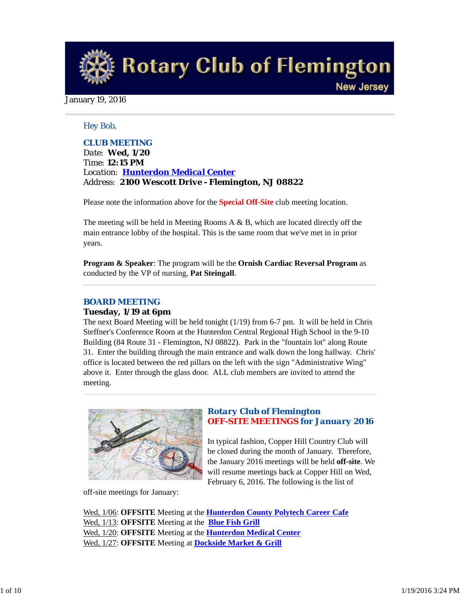**Rotary Club of Flemington New Jersey** 

January 19, 2016

#### *Hey Bob,*

*CLUB MEETING Date: Wed, 1/20 Time: 12:15 PM Location: Hunterdon Medical Center Address: 2100 Wescott Drive - Flemington, NJ 08822*

Please note the information above for the **Special Off-Site** club meeting location.

The meeting will be held in Meeting Rooms A & B, which are located directly off the main entrance lobby of the hospital. This is the same room that we've met in in prior years.

**Program & Speaker**: The program will be the **Ornish Cardiac Reversal Program** as conducted by the VP of nursing, **Pat Steingall**.

### *BOARD MEETING*

#### **Tuesday, 1/19 at 6pm**

The next Board Meeting will be held tonight (1/19) from 6-7 pm. It will be held in Chris Steffner's Conference Room at the Hunterdon Central Regional High School in the 9-10 Building (84 Route 31 - Flemington, NJ 08822). Park in the "fountain lot" along Route 31. Enter the building through the main entrance and walk down the long hallway. Chris' office is located between the red pillars on the left with the sign "Administrative Wing" above it. Enter through the glass door. ALL club members are invited to attend the meeting.



### *Rotary Club of Flemington OFF-SITE MEETINGS for January 2016*

In typical fashion, Copper Hill Country Club will be closed during the month of January. Therefore, the January 2016 meetings will be held **off-site**. We will resume meetings back at Copper Hill on Wed, February 6, 2016. The following is the list of

off-site meetings for January:

Wed, 1/06: **OFFSITE** Meeting at the **Hunterdon County Polytech Career Cafe** Wed, 1/13: **OFFSITE** Meeting at the **Blue Fish Grill** Wed, 1/20: **OFFSITE** Meeting at the **Hunterdon Medical Center** Wed, 1/27: **OFFSITE** Meeting at **Dockside Market & Grill**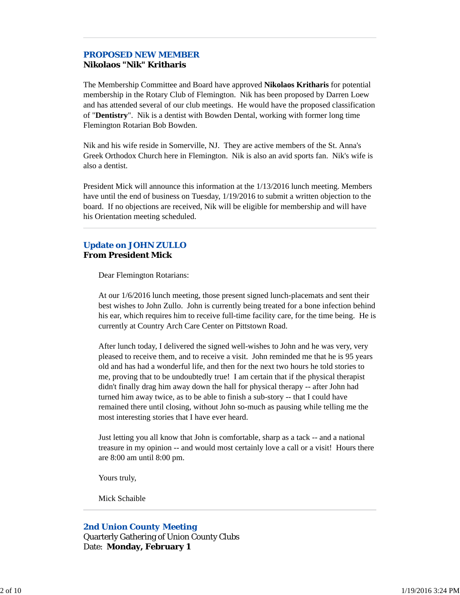# *PROPOSED NEW MEMBER*

## **Nikolaos "Nik" Kritharis**

The Membership Committee and Board have approved **Nikolaos Kritharis** for potential membership in the Rotary Club of Flemington. Nik has been proposed by Darren Loew and has attended several of our club meetings. He would have the proposed classification of "**Dentistry**". Nik is a dentist with Bowden Dental, working with former long time Flemington Rotarian Bob Bowden.

Nik and his wife reside in Somerville, NJ. They are active members of the St. Anna's Greek Orthodox Church here in Flemington. Nik is also an avid sports fan. Nik's wife is also a dentist.

President Mick will announce this information at the 1/13/2016 lunch meeting. Members have until the end of business on Tuesday, 1/19/2016 to submit a written objection to the board. If no objections are received, Nik will be eligible for membership and will have his Orientation meeting scheduled.

### **Update on JOHN ZULLO From President Mick**

Dear Flemington Rotarians:

At our 1/6/2016 lunch meeting, those present signed lunch-placemats and sent their best wishes to John Zullo. John is currently being treated for a bone infection behind his ear, which requires him to receive full-time facility care, for the time being. He is currently at Country Arch Care Center on Pittstown Road.

After lunch today, I delivered the signed well-wishes to John and he was very, very pleased to receive them, and to receive a visit. John reminded me that he is 95 years old and has had a wonderful life, and then for the next two hours he told stories to me, proving that to be undoubtedly true! I am certain that if the physical therapist didn't finally drag him away down the hall for physical therapy -- after John had turned him away twice, as to be able to finish a sub-story -- that I could have remained there until closing, without John so-much as pausing while telling me the most interesting stories that I have ever heard.

Just letting you all know that John is comfortable, sharp as a tack -- and a national treasure in my opinion -- and would most certainly love a call or a visit! Hours there are 8:00 am until 8:00 pm.

Yours truly,

Mick Schaible

### *2nd Union County Meeting*

Quarterly Gathering of Union County Clubs Date: **Monday, February 1**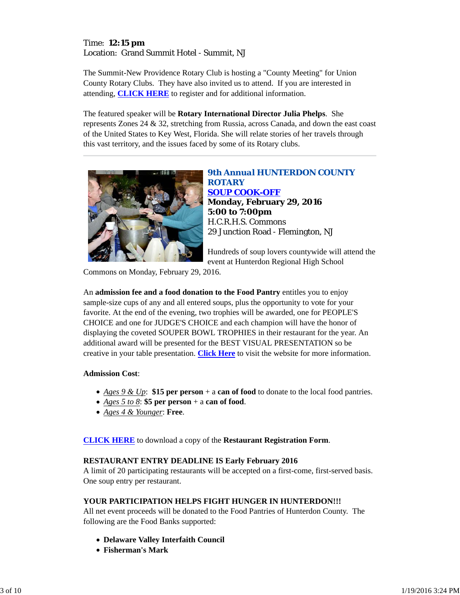### Time: **12:15 pm** Location: Grand Summit Hotel - Summit, NJ

The Summit-New Providence Rotary Club is hosting a "County Meeting" for Union County Rotary Clubs. They have also invited us to attend. If you are interested in attending, **CLICK HERE** to register and for additional information.

The featured speaker will be **Rotary International Director Julia Phelps**. She represents Zones 24 & 32, stretching from Russia, across Canada, and down the east coast of the United States to Key West, Florida. She will relate stories of her travels through this vast territory, and the issues faced by some of its Rotary clubs.



*9th Annual HUNTERDON COUNTY ROTARY SOUP COOK-OFF* **Monday, February 29, 2016 5:00 to 7:00pm** H.C.R.H.S. Commons 29 Junction Road - Flemington, NJ

Hundreds of soup lovers countywide will attend the event at Hunterdon Regional High School

Commons on Monday, February 29, 2016.

An **admission fee and a food donation to the Food Pantry** entitles you to enjoy sample-size cups of any and all entered soups, plus the opportunity to vote for your favorite. At the end of the evening, two trophies will be awarded, one for PEOPLE'S CHOICE and one for JUDGE'S CHOICE and each champion will have the honor of displaying the coveted SOUPER BOWL TROPHIES in their restaurant for the year. An additional award will be presented for the BEST VISUAL PRESENTATION so be creative in your table presentation. **Click Here** to visit the website for more information.

### **Admission Cost**:

- *Ages 9 & Up*: **\$15 per person** + a **can of food** to donate to the local food pantries.
- *Ages 5 to 8*: **\$5 per person** + a **can of food**.
- *Ages 4 & Younger*: **Free**.

**CLICK HERE** to download a copy of the **Restaurant Registration Form**.

### **RESTAURANT ENTRY DEADLINE IS Early February 2016**

A limit of 20 participating restaurants will be accepted on a first-come, first-served basis. One soup entry per restaurant.

### **YOUR PARTICIPATION HELPS FIGHT HUNGER IN HUNTERDON!!!**

All net event proceeds will be donated to the Food Pantries of Hunterdon County. The following are the Food Banks supported:

- **Delaware Valley Interfaith Council**
- **Fisherman's Mark**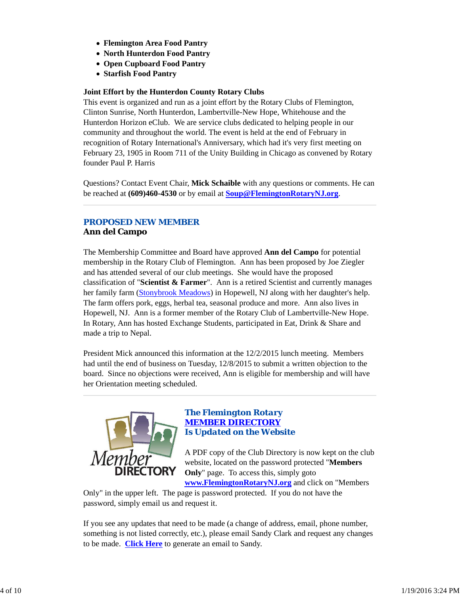- **Flemington Area Food Pantry**
- **North Hunterdon Food Pantry**
- **Open Cupboard Food Pantry**
- **Starfish Food Pantry**

### **Joint Effort by the Hunterdon County Rotary Clubs**

This event is organized and run as a joint effort by the Rotary Clubs of Flemington, Clinton Sunrise, North Hunterdon, Lambertville-New Hope, Whitehouse and the Hunterdon Horizon eClub. We are service clubs dedicated to helping people in our community and throughout the world. The event is held at the end of February in recognition of Rotary International's Anniversary, which had it's very first meeting on February 23, 1905 in Room 711 of the Unity Building in Chicago as convened by Rotary founder Paul P. Harris

Questions? Contact Event Chair, **Mick Schaible** with any questions or comments. He can be reached at **(609)460-4530** or by email at **Soup@FlemingtonRotaryNJ.org**.

### *PROPOSED NEW MEMBER* **Ann del Campo**

The Membership Committee and Board have approved **Ann del Campo** for potential membership in the Rotary Club of Flemington. Ann has been proposed by Joe Ziegler and has attended several of our club meetings. She would have the proposed classification of "**Scientist & Farmer**". Ann is a retired Scientist and currently manages her family farm (Stonybrook Meadows) in Hopewell, NJ along with her daughter's help. The farm offers pork, eggs, herbal tea, seasonal produce and more. Ann also lives in Hopewell, NJ. Ann is a former member of the Rotary Club of Lambertville-New Hope. In Rotary, Ann has hosted Exchange Students, participated in Eat, Drink & Share and made a trip to Nepal.

President Mick announced this information at the 12/2/2015 lunch meeting. Members had until the end of business on Tuesday, 12/8/2015 to submit a written objection to the board. Since no objections were received, Ann is eligible for membership and will have her Orientation meeting scheduled.



### *The Flemington Rotary MEMBER DIRECTORY Is Updated on the Website*

A PDF copy of the Club Directory is now kept on the club website, located on the password protected "**Members Only**" page. To access this, simply goto

**www.FlemingtonRotaryNJ.org** and click on "Members Only" in the upper left. The page is password protected. If you do not have the

password, simply email us and request it.

If you see any updates that need to be made (a change of address, email, phone number, something is not listed correctly, etc.), please email Sandy Clark and request any changes to be made. **Click Here** to generate an email to Sandy.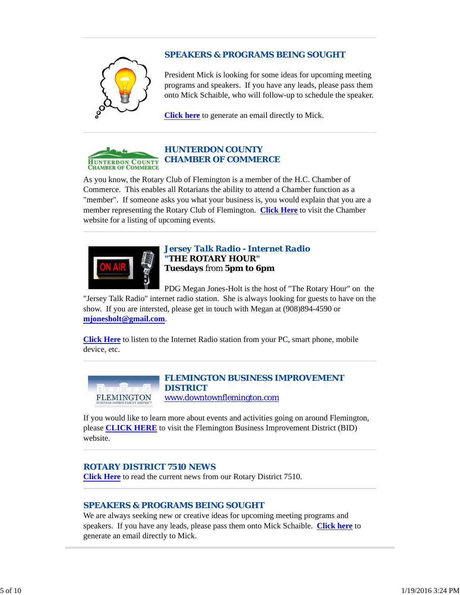### *SPEAKERS & PROGRAMS BEING SOUGHT*



President Mick is looking for some ideas for upcoming meeting programs and speakers. If you have any leads, please pass them onto Mick Schaible, who will follow-up to schedule the speaker.

**Click here** to generate an email directly to Mick.



### *HUNTERDON COUNTY CHAMBER OF COMMERCE*

As you know, the Rotary Club of Flemington is a member of the H.C. Chamber of Commerce. This enables all Rotarians the ability to attend a Chamber function as a "member". If someone asks you what your business is, you would explain that you are a member representing the Rotary Club of Flemington. **Click Here** to visit the Chamber website for a listing of upcoming events.



### *Jersey Talk Radio - Internet Radio "THE ROTARY HOUR"* **Tuesdays** from **5pm to 6pm**

PDG Megan Jones-Holt is the host of "The Rotary Hour" on the

"Jersey Talk Radio" internet radio station. She is always looking for guests to have on the show. If you are intersted, please get in touch with Megan at (908)894-4590 or **mjonesholt@gmail.com**.

**Click Here** to listen to the Internet Radio station from your PC, smart phone, mobile device, etc.



#### *FLEMINGTON BUSINESS IMPROVEMENT DISTRICT* www.downtownflemington.com

If you would like to learn more about events and activities going on around Flemington, please **CLICK HERE** to visit the Flemington Business Improvement District (BID) website.

### *ROTARY DISTRICT 7510 NEWS*

**Click Here** to read the current news from our Rotary District 7510.

### *SPEAKERS & PROGRAMS BEING SOUGHT*

We are always seeking new or creative ideas for upcoming meeting programs and speakers. If you have any leads, please pass them onto Mick Schaible. **Click here** to generate an email directly to Mick.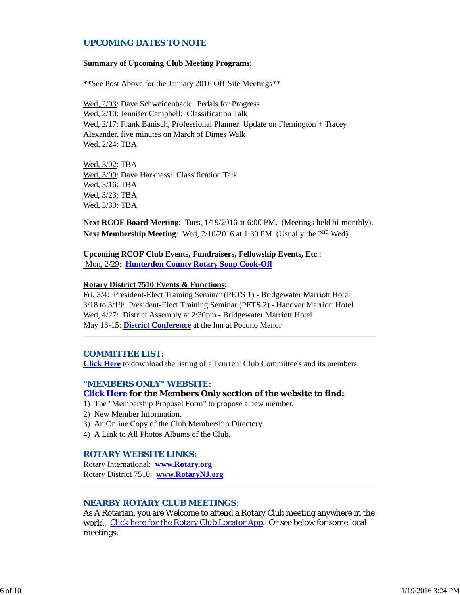### *UPCOMING DATES TO NOTE*

#### **Summary of Upcoming Club Meeting Programs**:

\*\*See Post Above for the January 2016 Off-Site Meetings\*\*

Wed, 2/03: Dave Schweidenback: Pedals for Progress Wed, 2/10: Jennifer Campbell: Classification Talk Wed, 2/17: Frank Banisch, Professional Planner: Update on Flemington + Tracey Alexander, five minutes on March of Dimes Walk Wed, 2/24: TBA

Wed, 3/02: TBA Wed, 3/09: Dave Harkness: Classification Talk Wed, 3/16: TBA Wed, 3/23: TBA Wed, 3/30: TBA

**Next RCOF Board Meeting**: Tues, 1/19/2016 at 6:00 PM. (Meetings held bi-monthly). **Next Membership Meeting**: Wed, 2/10/2016 at 1:30 PM (Usually the 2<sup>nd</sup> Wed).

**Upcoming RCOF Club Events, Fundraisers, Fellowship Events, Etc**.: Mon, 2/29: **Hunterdon County Rotary Soup Cook-Off**

#### **Rotary District 7510 Events & Functions:**

Fri, 3/4: President-Elect Training Seminar (PETS 1) - Bridgewater Marriott Hotel 3/18 to 3/19: President-Elect Training Seminar (PETS 2) - Hanover Marriott Hotel Wed, 4/27: District Assembly at 2:30pm - Bridgewater Marriott Hotel May 13-15: **District Conference** at the Inn at Pocono Manor

#### *COMMITTEE LIST:*

**Click Here** to download the listing of all current Club Committee's and its members.

#### *"MEMBERS ONLY" WEBSITE:*

#### **Click Here for the Members Only section of the website to find:**

- 1) The "Membership Proposal Form" to propose a new member.
- 2) New Member Information.
- 3) An Online Copy of the Club Membership Directory.
- 4) A Link to All Photos Albums of the Club.

#### *ROTARY WEBSITE LINKS:*

Rotary International: **www.Rotary.org** Rotary District 7510: **www.RotaryNJ.org**

### *NEARBY ROTARY CLUB MEETINGS:*

As A Rotarian, you are Welcome to attend a Rotary Club meeting anywhere in the world. Click here for the Rotary Club Locator App. Or see below for some local meetings: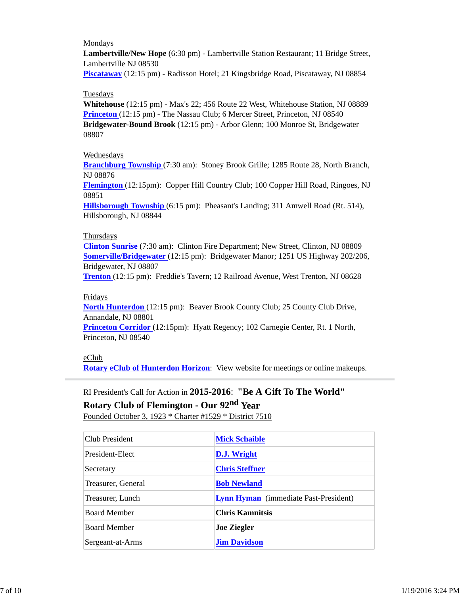### Mondays

**Lambertville/New Hope** (6:30 pm) - Lambertville Station Restaurant; 11 Bridge Street, Lambertville NJ 08530

**Piscataway** (12:15 pm) - Radisson Hotel; 21 Kingsbridge Road, Piscataway, NJ 08854

### Tuesdays

**Whitehouse** (12:15 pm) - Max's 22; 456 Route 22 West, Whitehouse Station, NJ 08889 **Princeton** (12:15 pm) - The Nassau Club; 6 Mercer Street, Princeton, NJ 08540 **Bridgewater-Bound Brook** (12:15 pm) - Arbor Glenn; 100 Monroe St, Bridgewater 08807

### **Wednesdays**

**Branchburg Township** (7:30 am): Stoney Brook Grille; 1285 Route 28, North Branch, NJ 08876

**Flemington** (12:15pm): Copper Hill Country Club; 100 Copper Hill Road, Ringoes, NJ 08851

**Hillsborough Township** (6:15 pm): Pheasant's Landing; 311 Amwell Road (Rt. 514), Hillsborough, NJ 08844

### Thursdays

**Clinton Sunrise** (7:30 am): Clinton Fire Department; New Street, Clinton, NJ 08809 **Somerville/Bridgewater** (12:15 pm): Bridgewater Manor; 1251 US Highway 202/206, Bridgewater, NJ 08807

**Trenton** (12:15 pm): Freddie's Tavern; 12 Railroad Avenue, West Trenton, NJ 08628

### Fridays

**North Hunterdon** (12:15 pm): Beaver Brook County Club; 25 County Club Drive, Annandale, NJ 08801

**Princeton Corridor** (12:15pm): Hyatt Regency; 102 Carnegie Center, Rt. 1 North, Princeton, NJ 08540

eClub

**Rotary eClub of Hunterdon Horizon**: View website for meetings or online makeups.

RI President's Call for Action in **2015-2016**: **"Be A Gift To The World" Rotary Club of Flemington - Our 92nd Year**

Founded October 3, 1923 \* Charter #1529 \* District 7510

| Club President      | <b>Mick Schaible</b>                         |
|---------------------|----------------------------------------------|
| President-Elect     | D.J. Wright                                  |
| Secretary           | <b>Chris Steffner</b>                        |
| Treasurer, General  | <b>Bob Newland</b>                           |
| Treasurer, Lunch    | <b>Lynn Hyman</b> (immediate Past-President) |
| <b>Board Member</b> | <b>Chris Kamnitsis</b>                       |
| <b>Board Member</b> | <b>Joe Ziegler</b>                           |
| Sergeant-at-Arms    | <b>Jim Davidson</b>                          |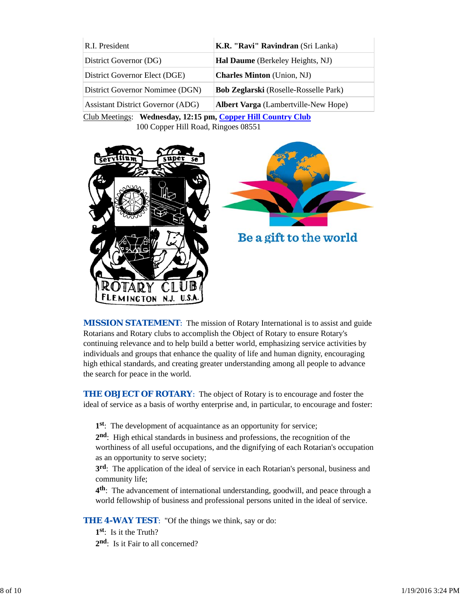| R.I. President                           | K.R. "Ravi" Ravindran (Sri Lanka)            |
|------------------------------------------|----------------------------------------------|
| District Governor (DG)                   | Hal Daume (Berkeley Heights, NJ)             |
| District Governor Elect (DGE)            | <b>Charles Minton</b> (Union, NJ)            |
| District Governor Nomimee (DGN)          | <b>Bob Zeglarski</b> (Roselle-Rosselle Park) |
| <b>Assistant District Governor (ADG)</b> | <b>Albert Varga</b> (Lambertville-New Hope)  |
|                                          |                                              |

Club Meetings: **Wednesday, 12:15 pm, Copper Hill Country Club** 100 Copper Hill Road, Ringoes 08551





Be a gift to the world

*MISSION STATEMENT*: The mission of Rotary International is to assist and guide Rotarians and Rotary clubs to accomplish the Object of Rotary to ensure Rotary's continuing relevance and to help build a better world, emphasizing service activities by individuals and groups that enhance the quality of life and human dignity, encouraging high ethical standards, and creating greater understanding among all people to advance the search for peace in the world.

**THE OBJECT OF ROTARY:** The object of Rotary is to encourage and foster the ideal of service as a basis of worthy enterprise and, in particular, to encourage and foster:

**1st**: The development of acquaintance as an opportunity for service;

**2nd**: High ethical standards in business and professions, the recognition of the worthiness of all useful occupations, and the dignifying of each Rotarian's occupation as an opportunity to serve society;

**3rd**: The application of the ideal of service in each Rotarian's personal, business and community life;

**4th**: The advancement of international understanding, goodwill, and peace through a world fellowship of business and professional persons united in the ideal of service.

**THE 4-WAY TEST:** "Of the things we think, say or do:

**1st**: Is it the Truth? 2<sup>nd</sup>: Is it Fair to all concerned?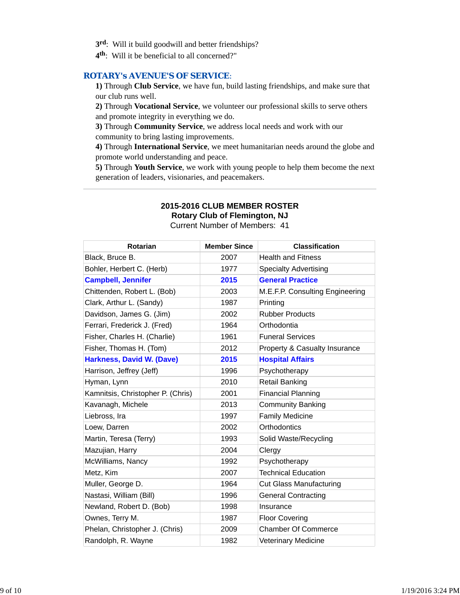- **3rd**: Will it build goodwill and better friendships?
- **4th**: Will it be beneficial to all concerned?"

#### *ROTARY's AVENUE'S OF SERVICE*:

**1)** Through **Club Service**, we have fun, build lasting friendships, and make sure that our club runs well.

**2)** Through **Vocational Service**, we volunteer our professional skills to serve others and promote integrity in everything we do.

**3)** Through **Community Service**, we address local needs and work with our community to bring lasting improvements.

**4)** Through **International Service**, we meet humanitarian needs around the globe and promote world understanding and peace.

**5)** Through **Youth Service**, we work with young people to help them become the next generation of leaders, visionaries, and peacemakers.

## **2015-2016 CLUB MEMBER ROSTER**

**Rotary Club of Flemington, NJ**

Current Number of Members: 41

| Rotarian                          | <b>Member Since</b> | <b>Classification</b>                    |
|-----------------------------------|---------------------|------------------------------------------|
| Black, Bruce B.                   | 2007                | <b>Health and Fitness</b>                |
| Bohler, Herbert C. (Herb)         | 1977                | <b>Specialty Advertising</b>             |
| <b>Campbell, Jennifer</b>         | 2015                | <b>General Practice</b>                  |
| Chittenden, Robert L. (Bob)       | 2003                | M.E.F.P. Consulting Engineering          |
| Clark, Arthur L. (Sandy)          | 1987                | Printing                                 |
| Davidson, James G. (Jim)          | 2002                | <b>Rubber Products</b>                   |
| Ferrari, Frederick J. (Fred)      | 1964                | Orthodontia                              |
| Fisher, Charles H. (Charlie)      | 1961                | <b>Funeral Services</b>                  |
| Fisher, Thomas H. (Tom)           | 2012                | <b>Property &amp; Casualty Insurance</b> |
| <b>Harkness, David W. (Dave)</b>  | 2015                | <b>Hospital Affairs</b>                  |
| Harrison, Jeffrey (Jeff)          | 1996                | Psychotherapy                            |
| Hyman, Lynn                       | 2010                | <b>Retail Banking</b>                    |
| Kamnitsis, Christopher P. (Chris) | 2001                | <b>Financial Planning</b>                |
| Kavanagh, Michele                 | 2013                | <b>Community Banking</b>                 |
| Liebross, Ira                     | 1997                | <b>Family Medicine</b>                   |
| Loew, Darren                      | 2002                | Orthodontics                             |
| Martin, Teresa (Terry)            | 1993                | Solid Waste/Recycling                    |
| Mazujian, Harry                   | 2004                | Clergy                                   |
| McWilliams, Nancy                 | 1992                | Psychotherapy                            |
| Metz, Kim                         | 2007                | <b>Technical Education</b>               |
| Muller, George D.                 | 1964                | <b>Cut Glass Manufacturing</b>           |
| Nastasi, William (Bill)           | 1996                | <b>General Contracting</b>               |
| Newland, Robert D. (Bob)          | 1998                | Insurance                                |
| Ownes, Terry M.                   | 1987                | <b>Floor Covering</b>                    |
| Phelan, Christopher J. (Chris)    | 2009                | <b>Chamber Of Commerce</b>               |
| Randolph, R. Wayne                | 1982                | <b>Veterinary Medicine</b>               |